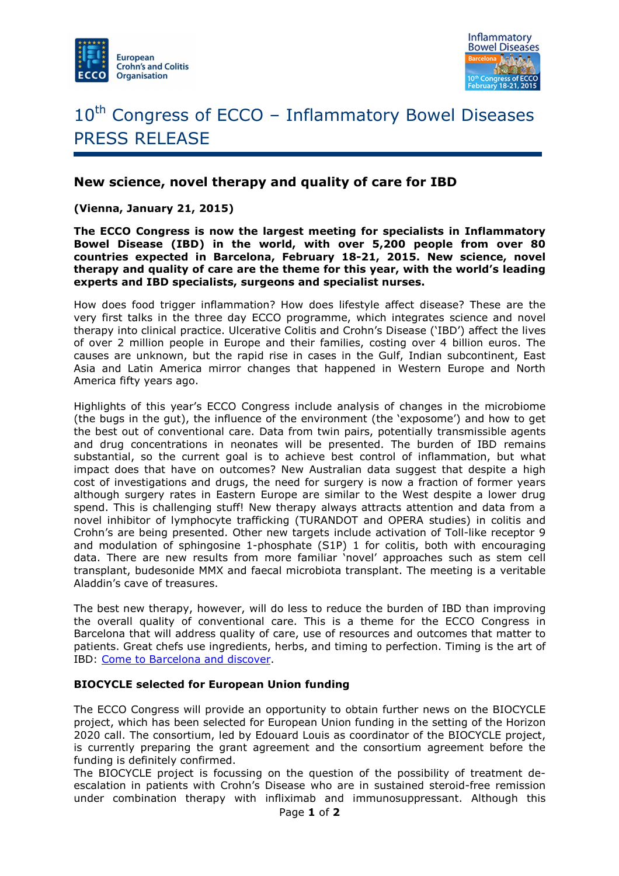



# 10<sup>th</sup> Congress of ECCO - Inflammatory Bowel Diseases PRESS RELEASE

## **New science, novel therapy and quality of care for IBD**

**(Vienna, January 21, 2015)** 

**The ECCO Congress is now the largest meeting for specialists in Inflammatory Bowel Disease (IBD) in the world, with over 5,200 people from over 80 countries expected in Barcelona, February 18-21, 2015. New science, novel therapy and quality of care are the theme for this year, with the world's leading experts and IBD specialists, surgeons and specialist nurses.** 

How does food trigger inflammation? How does lifestyle affect disease? These are the very first talks in the three day ECCO programme, which integrates science and novel therapy into clinical practice. Ulcerative Colitis and Crohn's Disease ('IBD') affect the lives of over 2 million people in Europe and their families, costing over 4 billion euros. The causes are unknown, but the rapid rise in cases in the Gulf, Indian subcontinent, East Asia and Latin America mirror changes that happened in Western Europe and North America fifty years ago.

Highlights of this year's ECCO Congress include analysis of changes in the microbiome (the bugs in the gut), the influence of the environment (the 'exposome') and how to get the best out of conventional care. Data from twin pairs, potentially transmissible agents and drug concentrations in neonates will be presented. The burden of IBD remains substantial, so the current goal is to achieve best control of inflammation, but what impact does that have on outcomes? New Australian data suggest that despite a high cost of investigations and drugs, the need for surgery is now a fraction of former years although surgery rates in Eastern Europe are similar to the West despite a lower drug spend. This is challenging stuff! New therapy always attracts attention and data from a novel inhibitor of lymphocyte trafficking (TURANDOT and OPERA studies) in colitis and Crohn's are being presented. Other new targets include activation of Toll-like receptor 9 and modulation of sphingosine 1-phosphate (S1P) 1 for colitis, both with encouraging data. There are new results from more familiar 'novel' approaches such as stem cell transplant, budesonide MMX and faecal microbiota transplant. The meeting is a veritable Aladdin's cave of treasures.

The best new therapy, however, will do less to reduce the burden of IBD than improving the overall quality of conventional care. This is a theme for the ECCO Congress in Barcelona that will address quality of care, use of resources and outcomes that matter to patients. Great chefs use ingredients, herbs, and timing to perfection. Timing is the art of IBD: Come to Barcelona and discover.

#### **BIOCYCLE selected for European Union funding**

The ECCO Congress will provide an opportunity to obtain further news on the BIOCYCLE project, which has been selected for European Union funding in the setting of the Horizon 2020 call. The consortium, led by Edouard Louis as coordinator of the BIOCYCLE project, is currently preparing the grant agreement and the consortium agreement before the funding is definitely confirmed.

The BIOCYCLE project is focussing on the question of the possibility of treatment deescalation in patients with Crohn's Disease who are in sustained steroid-free remission under combination therapy with infliximab and immunosuppressant. Although this